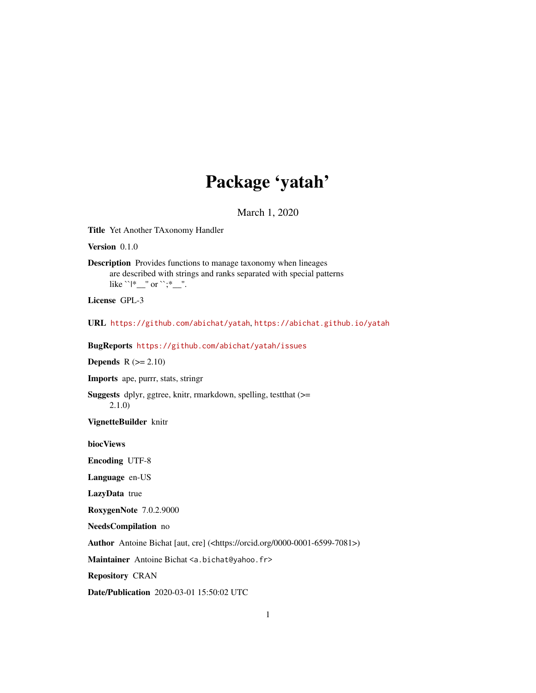# Package 'yatah'

March 1, 2020

Title Yet Another TAxonomy Handler

Version 0.1.0

Description Provides functions to manage taxonomy when lineages are described with strings and ranks separated with special patterns like ``|\*\_\_'' or ``;\*\_\_''.

License GPL-3

URL <https://github.com/abichat/yatah>, <https://abichat.github.io/yatah>

BugReports <https://github.com/abichat/yatah/issues>

**Depends**  $R (= 2.10)$ 

Imports ape, purrr, stats, stringr

Suggests dplyr, ggtree, knitr, rmarkdown, spelling, testthat (>= 2.1.0)

VignetteBuilder knitr

biocViews

Encoding UTF-8

Language en-US

LazyData true

RoxygenNote 7.0.2.9000

NeedsCompilation no

Author Antoine Bichat [aut, cre] (<https://orcid.org/0000-0001-6599-7081>)

Maintainer Antoine Bichat <a.bichat@yahoo.fr>

Repository CRAN

Date/Publication 2020-03-01 15:50:02 UTC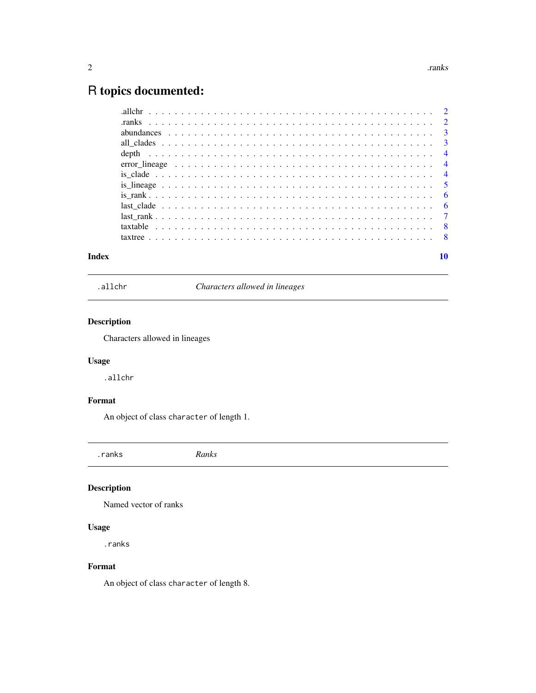## <span id="page-1-0"></span>R topics documented:

|       |  | error lineage $\ldots \ldots \ldots \ldots \ldots \ldots \ldots \ldots \ldots \ldots \ldots \ldots \ldots$ |    |
|-------|--|------------------------------------------------------------------------------------------------------------|----|
|       |  |                                                                                                            |    |
|       |  |                                                                                                            |    |
|       |  |                                                                                                            |    |
|       |  |                                                                                                            |    |
|       |  |                                                                                                            |    |
|       |  |                                                                                                            |    |
|       |  |                                                                                                            |    |
| Index |  |                                                                                                            | 10 |

.allchr *Characters allowed in lineages*

#### Description

Characters allowed in lineages

#### Usage

.allchr

### Format

An object of class character of length 1.

.ranks *Ranks*

#### Description

Named vector of ranks

#### Usage

.ranks

#### Format

An object of class character of length 8.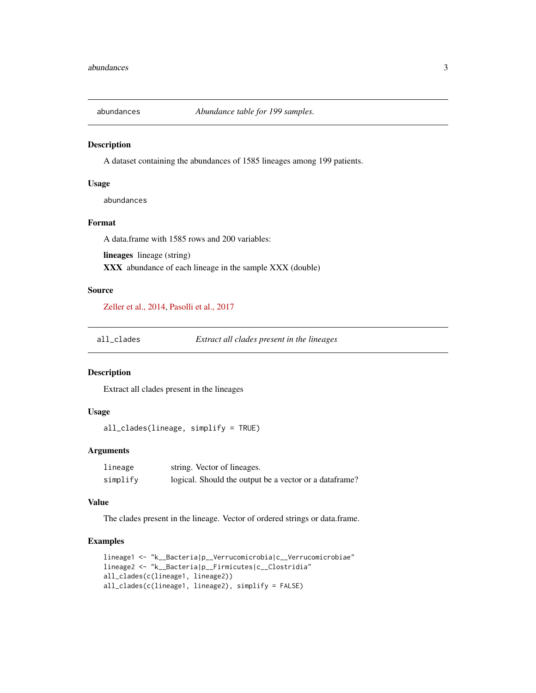<span id="page-2-0"></span>

A dataset containing the abundances of 1585 lineages among 199 patients.

#### Usage

abundances

#### Format

A data.frame with 1585 rows and 200 variables:

lineages lineage (string)

XXX abundance of each lineage in the sample XXX (double)

#### Source

[Zeller et al., 2014,](https://doi.org/10.15252/msb.20145645) [Pasolli et al., 2017](https://doi.org/10.1038/nmeth.4468)

all\_clades *Extract all clades present in the lineages*

#### Description

Extract all clades present in the lineages

#### Usage

all\_clades(lineage, simplify = TRUE)

#### Arguments

| lineage  | string. Vector of lineages.                             |
|----------|---------------------------------------------------------|
| simplify | logical. Should the output be a vector or a data frame? |

#### Value

The clades present in the lineage. Vector of ordered strings or data.frame.

#### Examples

```
lineage1 <- "k__Bacteria|p__Verrucomicrobia|c__Verrucomicrobiae"
lineage2 <- "k__Bacteria|p__Firmicutes|c__Clostridia"
all_clades(c(lineage1, lineage2))
all_clades(c(lineage1, lineage2), simplify = FALSE)
```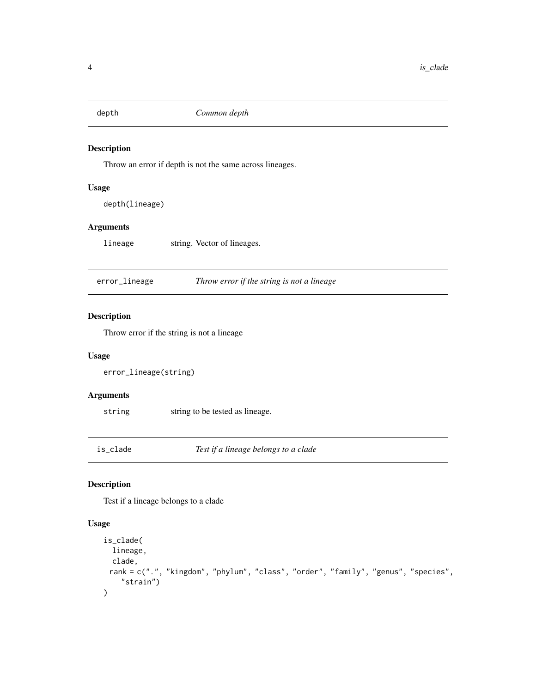<span id="page-3-0"></span>

Throw an error if depth is not the same across lineages.

#### Usage

depth(lineage)

#### Arguments

lineage string. Vector of lineages.

error\_lineage *Throw error if the string is not a lineage*

#### Description

Throw error if the string is not a lineage

#### Usage

```
error_lineage(string)
```
#### Arguments

string string to be tested as lineage.

is\_clade *Test if a lineage belongs to a clade*

#### Description

Test if a lineage belongs to a clade

#### Usage

```
is_clade(
  lineage,
 clade,
 rank = c(".", "kingdom", "phylum", "class", "order", "family", "genus", "species",
    "strain")
\mathcal{E}
```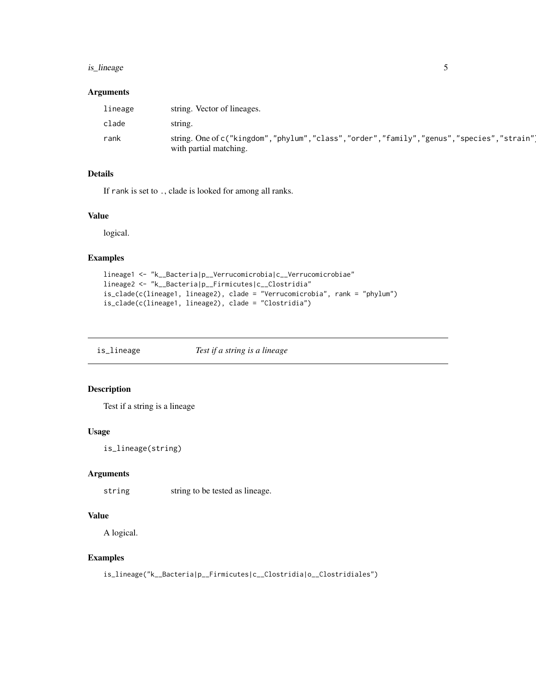#### <span id="page-4-0"></span>is\_lineage 55

#### Arguments

| lineage | string. Vector of lineages.                                                                                        |
|---------|--------------------------------------------------------------------------------------------------------------------|
| clade   | string.                                                                                                            |
| rank    | string. One of c("kingdom","phylum","class","order","family","genus","species","strain")<br>with partial matching. |

#### Details

If rank is set to ., clade is looked for among all ranks.

#### Value

logical.

#### Examples

```
lineage1 <- "k__Bacteria|p__Verrucomicrobia|c__Verrucomicrobiae"
lineage2 <- "k__Bacteria|p__Firmicutes|c__Clostridia"
is_clade(c(lineage1, lineage2), clade = "Verrucomicrobia", rank = "phylum")
is_clade(c(lineage1, lineage2), clade = "Clostridia")
```
is\_lineage *Test if a string is a lineage*

#### Description

Test if a string is a lineage

#### Usage

is\_lineage(string)

#### Arguments

string string to be tested as lineage.

#### Value

A logical.

#### Examples

is\_lineage("k\_\_Bacteria|p\_\_Firmicutes|c\_\_Clostridia|o\_\_Clostridiales")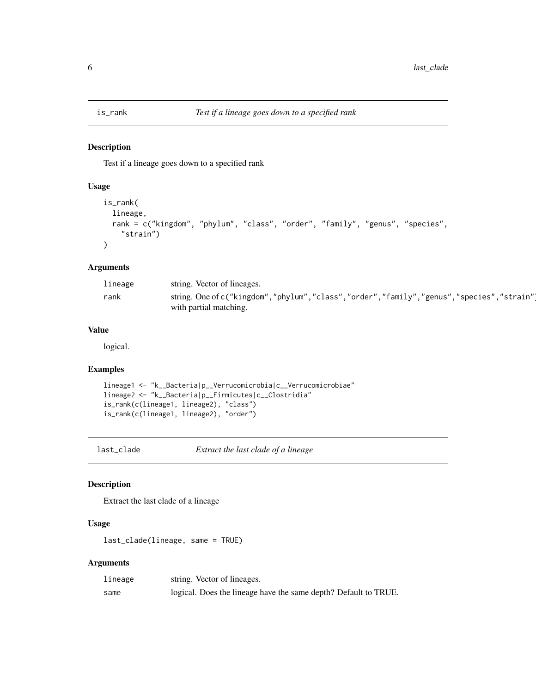<span id="page-5-0"></span>

Test if a lineage goes down to a specified rank

#### Usage

```
is_rank(
  lineage,
  rank = c("kingdom", "phylum", "class", "order", "family", "genus", "species",
    "strain")
\mathcal{L}
```
#### Arguments

| lineage | string. Vector of lineages.                                                                                       |
|---------|-------------------------------------------------------------------------------------------------------------------|
| rank    | string. One of c("kingdom","phylum","class","order","family","genus","species","strain"<br>with partial matching. |

#### Value

logical.

#### Examples

```
lineage1 <- "k__Bacteria|p__Verrucomicrobia|c__Verrucomicrobiae"
lineage2 <- "k__Bacteria|p__Firmicutes|c__Clostridia"
is_rank(c(lineage1, lineage2), "class")
is_rank(c(lineage1, lineage2), "order")
```
last\_clade *Extract the last clade of a lineage*

#### Description

Extract the last clade of a lineage

#### Usage

last\_clade(lineage, same = TRUE)

#### Arguments

| lineage | string. Vector of lineages.                                     |
|---------|-----------------------------------------------------------------|
| same    | logical. Does the lineage have the same depth? Default to TRUE. |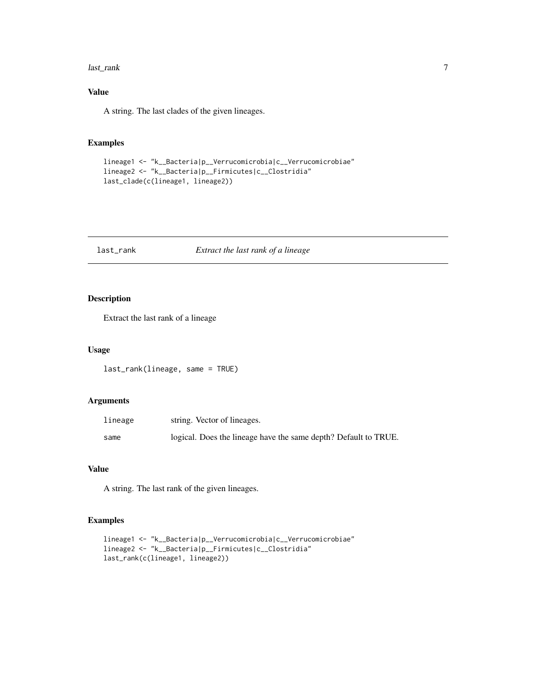#### <span id="page-6-0"></span>last\_rank 7

#### Value

A string. The last clades of the given lineages.

#### Examples

```
lineage1 <- "k__Bacteria|p__Verrucomicrobia|c__Verrucomicrobiae"
lineage2 <- "k__Bacteria|p__Firmicutes|c__Clostridia"
last_clade(c(lineage1, lineage2))
```
#### last\_rank *Extract the last rank of a lineage*

#### Description

Extract the last rank of a lineage

#### Usage

last\_rank(lineage, same = TRUE)

#### Arguments

| lineage | string. Vector of lineages.                                     |
|---------|-----------------------------------------------------------------|
| same    | logical. Does the lineage have the same depth? Default to TRUE. |

#### Value

A string. The last rank of the given lineages.

#### Examples

```
lineage1 <- "k__Bacteria|p__Verrucomicrobia|c__Verrucomicrobiae"
lineage2 <- "k__Bacteria|p__Firmicutes|c__Clostridia"
last_rank(c(lineage1, lineage2))
```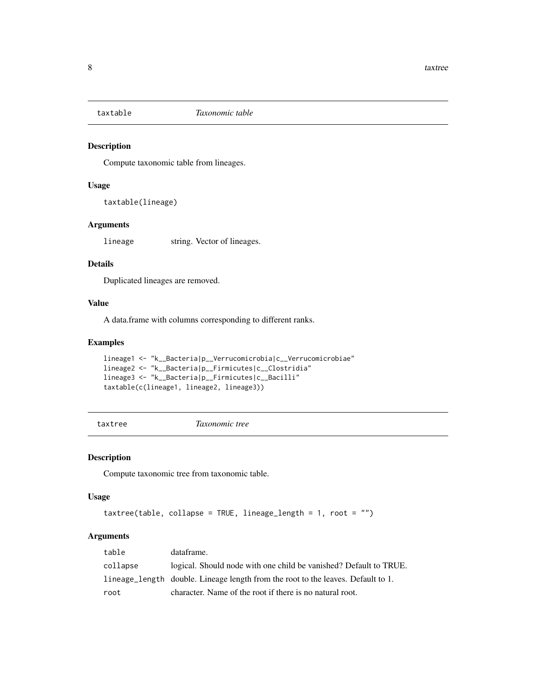<span id="page-7-0"></span>

Compute taxonomic table from lineages.

#### Usage

taxtable(lineage)

#### Arguments

lineage string. Vector of lineages.

#### Details

Duplicated lineages are removed.

#### Value

A data.frame with columns corresponding to different ranks.

#### Examples

```
lineage1 <- "k__Bacteria|p__Verrucomicrobia|c__Verrucomicrobiae"
lineage2 <- "k__Bacteria|p__Firmicutes|c__Clostridia"
lineage3 <- "k__Bacteria|p__Firmicutes|c__Bacilli"
taxtable(c(lineage1, lineage2, lineage3))
```
taxtree *Taxonomic tree*

#### Description

Compute taxonomic tree from taxonomic table.

#### Usage

```
taxtree(table, collapse = TRUE, lineage_length = 1, root = "")
```
#### Arguments

| table    | dataframe.                                                                       |
|----------|----------------------------------------------------------------------------------|
| collapse | logical. Should node with one child be vanished? Default to TRUE.                |
|          | lineage_length double. Lineage length from the root to the leaves. Default to 1. |
| root     | character. Name of the root if there is no natural root.                         |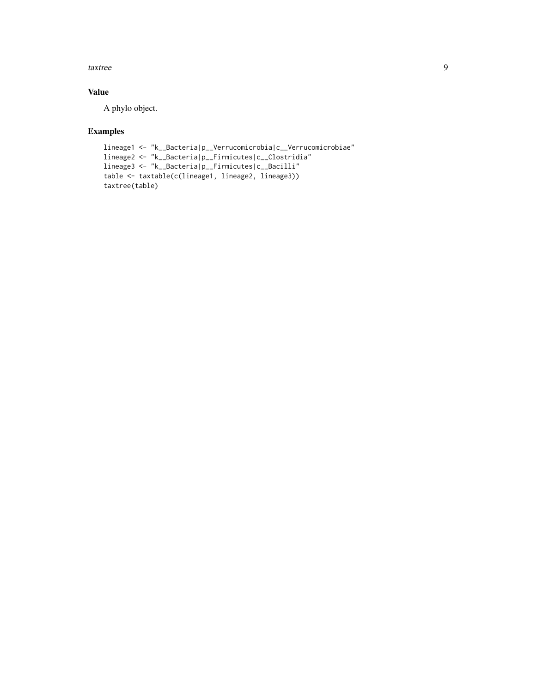#### taxtree 9

#### Value

A phylo object.

#### Examples

```
lineage1 <- "k__Bacteria|p__Verrucomicrobia|c__Verrucomicrobiae"
lineage2 <- "k__Bacteria|p__Firmicutes|c__Clostridia"
lineage3 <- "k__Bacteria|p__Firmicutes|c__Bacilli"
table <- taxtable(c(lineage1, lineage2, lineage3))
taxtree(table)
```